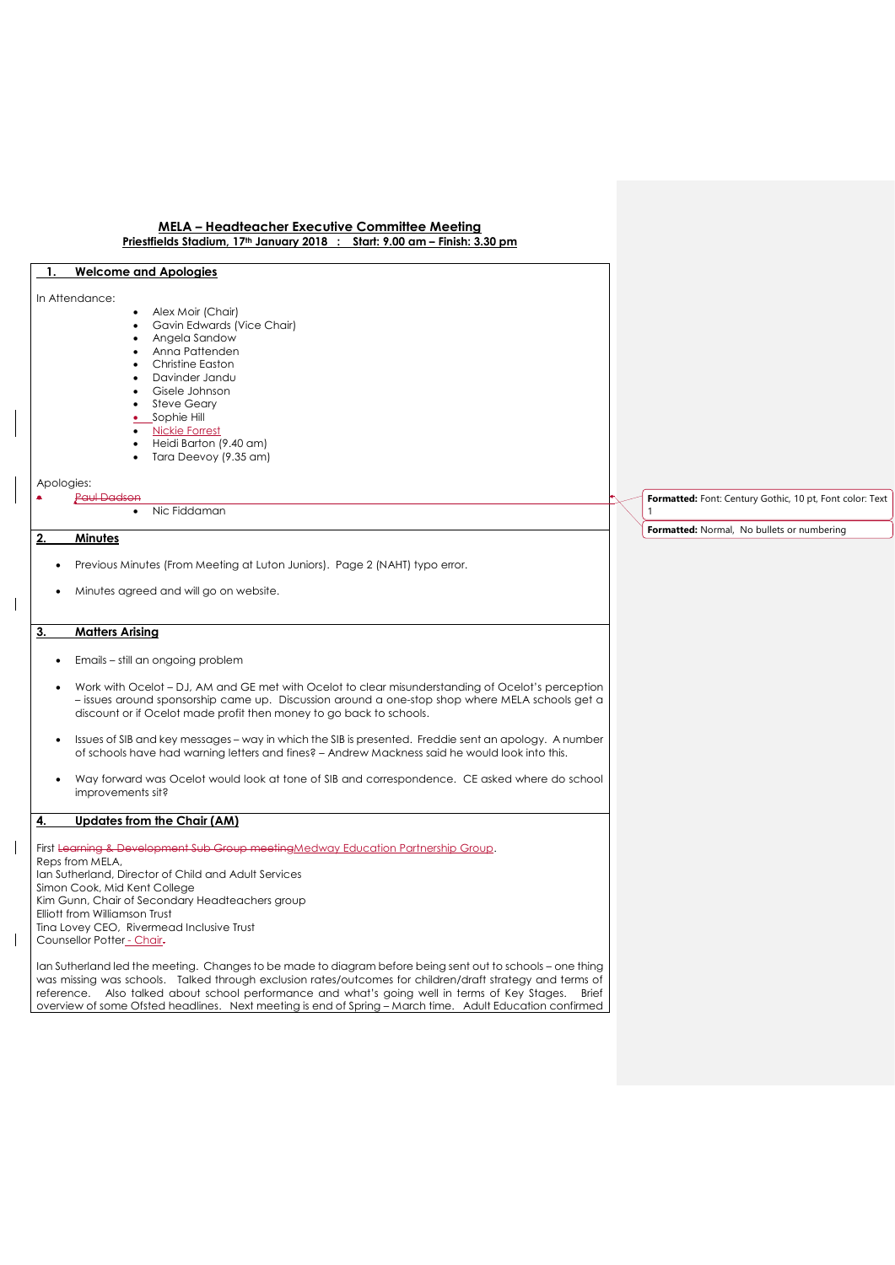# **1. Welcome and Apologies**

#### In Attendance:

- Alex Moir (Chair)
- Gavin Edwards (Vice Chair) Angela Sandow
- Anna Pattenden
- Christine Easton
- Davinder Jandu
- Gisele Johnson
- Steve Geary
- Sophie Hill
- Nickie Forrest
- Heidi Barton (9.40 am)
- Tara Deevoy (9.35 am)

Apologies:

#### Paul Dad

Nic Fiddaman

# **2. Minutes**

- Previous Minutes (From Meeting at Luton Juniors). Page 2 (NAHT) typo error.
- Minutes agreed and will go on website.

# **3. Matters Arising**

- Emails still an ongoing problem
- Work with Ocelot DJ, AM and GE met with Ocelot to clear misunderstanding of Ocelot's perception – issues around sponsorship came up. Discussion around a one-stop shop where MELA schools get a discount or if Ocelot made profit then money to go back to schools.
- Issues of SIB and key messages way in which the SIB is presented. Freddie sent an apology. A number of schools have had warning letters and fines? – Andrew Mackness said he would look into this.
- Way forward was Ocelot would look at tone of SIB and correspondence. CE asked where do school improvements sit?

#### **4. Updates from the Chair (AM)**

First Learning & Development Sub Group meetingMedway Education Partnership Group. Reps from MELA, Ian Sutherland, Director of Child and Adult Services Simon Cook, Mid Kent College Kim Gunn, Chair of Secondary Headteachers group Elliott from Williamson Trust Tina Lovey CEO, Rivermead Inclusive Trust Counsellor Potter - Chair-

Ian Sutherland led the meeting. Changes to be made to diagram before being sent out to schools - one thing was missing was schools. Talked through exclusion rates/outcomes for children/draft strategy and terms of reference. Also talked about school performance and what's going well in terms of Key Stages. Brief overview of some Ofsted headlines. Next meeting is end of Spring – March time. Adult Education confirmed **Formatted:** Font: Century Gothic, 10 pt, Font color: Text 1

**Formatted:** Normal, No bullets or numbering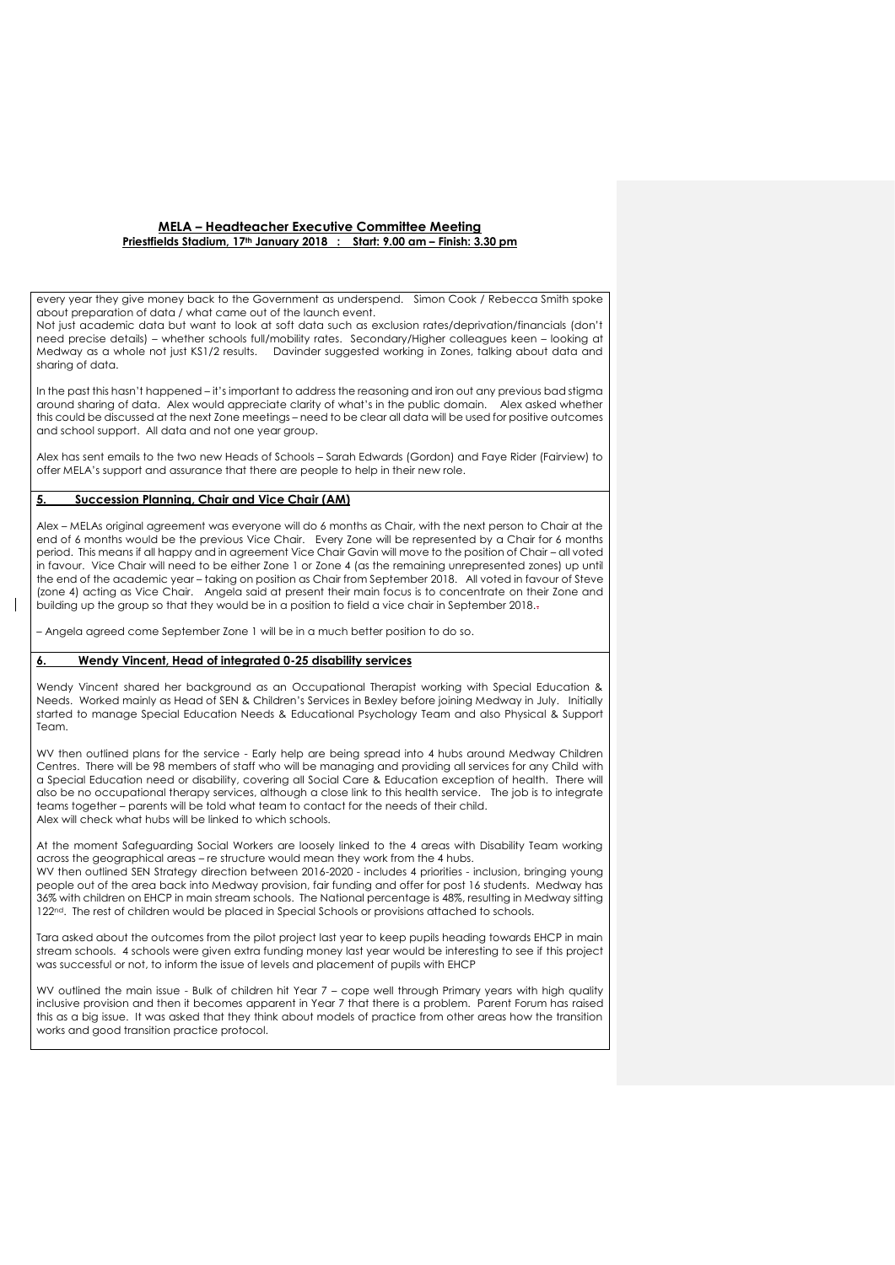every year they give money back to the Government as underspend. Simon Cook / Rebecca Smith spoke about preparation of data / what came out of the launch event.

Not just academic data but want to look at soft data such as exclusion rates/deprivation/financials (don't need precise details) – whether schools full/mobility rates. Secondary/Higher colleagues keen – looking at Medway as a whole not just KS1/2 results. Davinder suggested working in Zones, talking about data and sharing of data.

In the past this hasn't happened – it's important to address the reasoning and iron out any previous bad stigma around sharing of data. Alex would appreciate clarity of what's in the public domain. Alex asked whether this could be discussed at the next Zone meetings – need to be clear all data will be used for positive outcomes and school support. All data and not one year group.

Alex has sent emails to the two new Heads of Schools – Sarah Edwards (Gordon) and Faye Rider (Fairview) to offer MELA's support and assurance that there are people to help in their new role.

# **5. Succession Planning, Chair and Vice Chair (AM)**

Alex – MELAs original agreement was everyone will do 6 months as Chair, with the next person to Chair at the end of 6 months would be the previous Vice Chair. Every Zone will be represented by a Chair for 6 months period. This means if all happy and in agreement Vice Chair Gavin will move to the position of Chair – all voted in favour. Vice Chair will need to be either Zone 1 or Zone 4 (as the remaining unrepresented zones) up until the end of the academic year – taking on position as Chair from September 2018. All voted in favour of Steve (zone 4) acting as Vice Chair. Angela said at present their main focus is to concentrate on their Zone and building up the group so that they would be in a position to field a vice chair in September 2018..

– Angela agreed come September Zone 1 will be in a much better position to do so.

# **6. Wendy Vincent, Head of integrated 0-25 disability services**

Wendy Vincent shared her background as an Occupational Therapist working with Special Education & Needs. Worked mainly as Head of SEN & Children's Services in Bexley before joining Medway in July. Initially started to manage Special Education Needs & Educational Psychology Team and also Physical & Support Team.

WV then outlined plans for the service - Early help are being spread into 4 hubs around Medway Children Centres. There will be 98 members of staff who will be managing and providing all services for any Child with a Special Education need or disability, covering all Social Care & Education exception of health. There will also be no occupational therapy services, although a close link to this health service. The job is to integrate teams together – parents will be told what team to contact for the needs of their child. Alex will check what hubs will be linked to which schools.

At the moment Safeguarding Social Workers are loosely linked to the 4 areas with Disability Team working across the geographical areas – re structure would mean they work from the 4 hubs. WV then outlined SEN Strategy direction between 2016-2020 - includes 4 priorities - inclusion, bringing young people out of the area back into Medway provision, fair funding and offer for post 16 students. Medway has 36% with children on EHCP in main stream schools. The National percentage is 48%, resulting in Medway sitting 122nd. The rest of children would be placed in Special Schools or provisions attached to schools.

Tara asked about the outcomes from the pilot project last year to keep pupils heading towards EHCP in main stream schools. 4 schools were given extra funding money last year would be interesting to see if this project was successful or not, to inform the issue of levels and placement of pupils with EHCP

WV outlined the main issue - Bulk of children hit Year 7 – cope well through Primary years with high quality inclusive provision and then it becomes apparent in Year 7 that there is a problem. Parent Forum has raised this as a big issue. It was asked that they think about models of practice from other areas how the transition works and good transition practice protocol.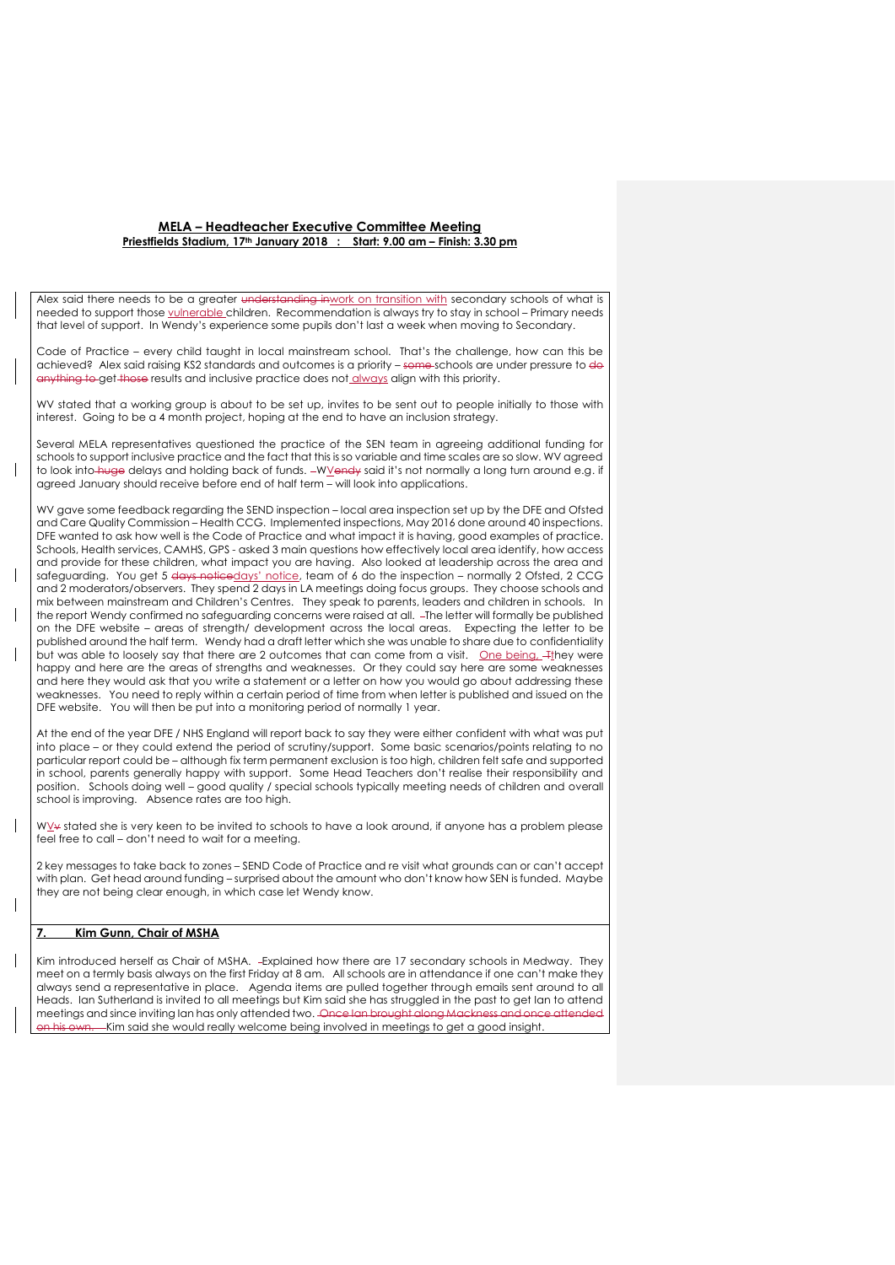Alex said there needs to be a greater <del>understanding inwork</del> on transition with secondary schools of what is needed to support those vulnerable children. Recommendation is always try to stay in school – Primary needs that level of support. In Wendy's experience some pupils don't last a week when moving to Secondary.

Code of Practice – every child taught in local mainstream school. That's the challenge, how can this be achieved? Alex said raising KS2 standards and outcomes is a priority - some schools are under pressure to do anything to get those results and inclusive practice does not always align with this priority.

WV stated that a working group is about to be set up, invites to be sent out to people initially to those with interest. Going to be a 4 month project, hoping at the end to have an inclusion strategy.

Several MELA representatives questioned the practice of the SEN team in agreeing additional funding for schools to support inclusive practice and the fact that this is so variable and time scales are so slow. WV agreed to look into huge delays and holding back of funds. -WVendy said it's not normally a long turn around e.g. if agreed January should receive before end of half term – will look into applications.

WV gave some feedback regarding the SEND inspection – local area inspection set up by the DFE and Ofsted and Care Quality Commission – Health CCG. Implemented inspections, May 2016 done around 40 inspections. DFE wanted to ask how well is the Code of Practice and what impact it is having, good examples of practice. Schools, Health services, CAMHS, GPS - asked 3 main questions how effectively local area identify, how access and provide for these children, what impact you are having. Also looked at leadership across the area and safeguarding. You get 5 days noticedays' notice, team of 6 do the inspection - normally 2 Ofsted, 2 CCG and 2 moderators/observers. They spend 2 days in LA meetings doing focus groups. They choose schools and mix between mainstream and Children's Centres. They speak to parents, leaders and children in schools. In the report Wendy confirmed no safeguarding concerns were raised at all. The letter will formally be published on the DFE website – areas of strength/ development across the local areas. Expecting the letter to be published around the half term. Wendy had a draft letter which she was unable to share due to confidentiality but was able to loosely say that there are 2 outcomes that can come from a visit. One being, They were happy and here are the areas of strengths and weaknesses. Or they could say here are some weaknesses and here they would ask that you write a statement or a letter on how you would go about addressing these weaknesses. You need to reply within a certain period of time from when letter is published and issued on the DFE website. You will then be put into a monitoring period of normally 1 year.

At the end of the year DFE / NHS England will report back to say they were either confident with what was put into place – or they could extend the period of scrutiny/support. Some basic scenarios/points relating to no particular report could be – although fix term permanent exclusion is too high, children felt safe and supported in school, parents generally happy with support. Some Head Teachers don't realise their responsibility and position. Schools doing well – good quality / special schools typically meeting needs of children and overall school is improving. Absence rates are too high.

WY stated she is very keen to be invited to schools to have a look around, if anyone has a problem please feel free to call – don't need to wait for a meeting.

2 key messages to take back to zones – SEND Code of Practice and re visit what grounds can or can't accept with plan. Get head around funding – surprised about the amount who don't know how SEN is funded. Maybe they are not being clear enough, in which case let Wendy know.

# **7. Kim Gunn, Chair of MSHA**

Kim introduced herself as Chair of MSHA. - Explained how there are 17 secondary schools in Medway. They meet on a termly basis always on the first Friday at 8 am. All schools are in attendance if one can't make they always send a representative in place. Agenda items are pulled together through emails sent around to all Heads. Ian Sutherland is invited to all meetings but Kim said she has struggled in the past to get Ian to attend meetings and since inviting Ian has only attended two. Once Ian Kim said she would really welcome being involved in meetings to get a good insight.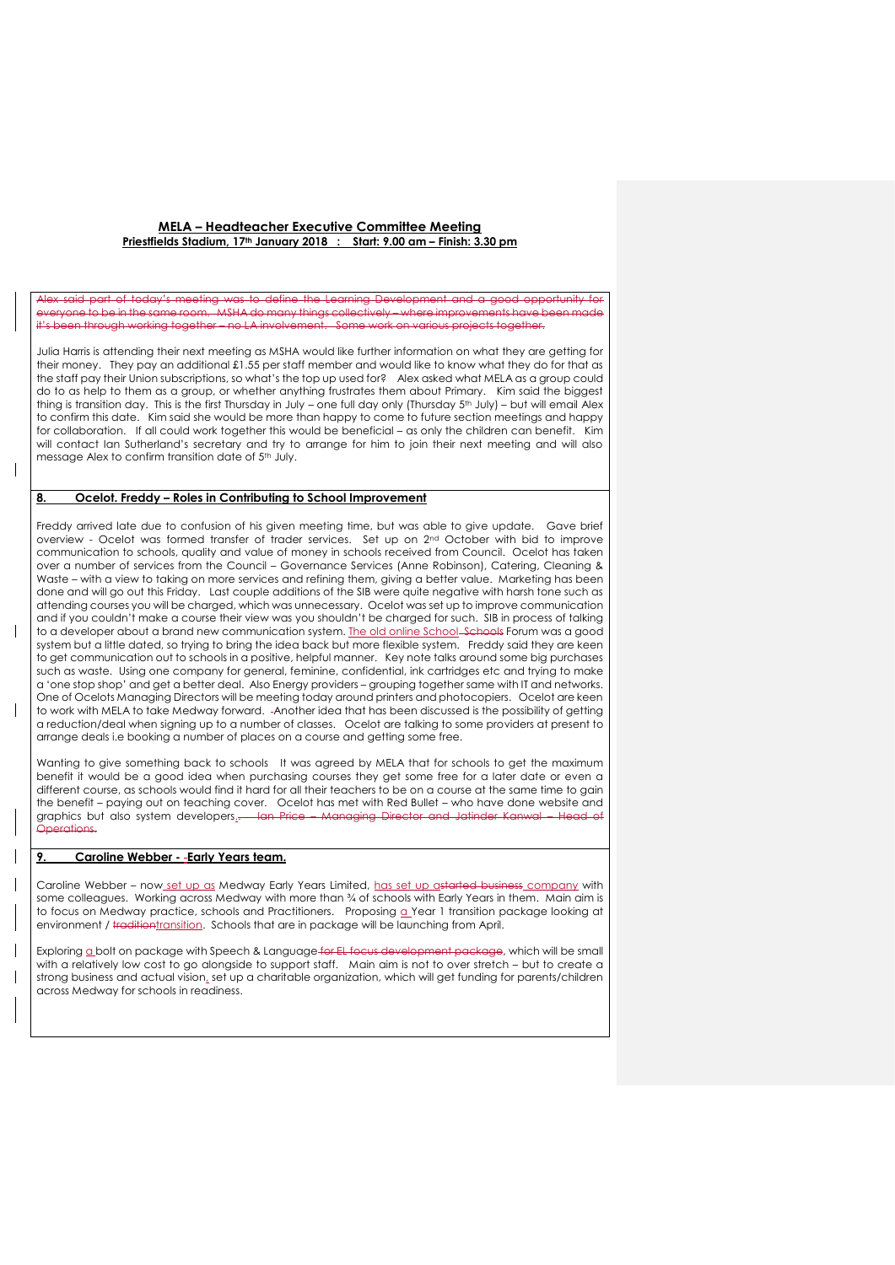#### aal was to define the Learning Development and a good opportunity everyone to be in the same room. MSHA do many things collectively – where improvements have been made it's been through working together – no LA involvement. Some work on various projects together.

Julia Harris is attending their next meeting as MSHA would like further information on what they are getting for their money. They pay an additional £1.55 per staff member and would like to know what they do for that as the staff pay their Union subscriptions, so what's the top up used for? Alex asked what MELA as a group could do to as help to them as a group, or whether anything frustrates them about Primary. Kim said the biggest thing is transition day. This is the first Thursday in July – one full day only (Thursday 5th July) – but will email Alex to confirm this date. Kim said she would be more than happy to come to future section meetings and happy for collaboration. If all could work together this would be beneficial – as only the children can benefit. Kim will contact Ian Sutherland's secretary and try to arrange for him to join their next meeting and will also message Alex to confirm transition date of 5th July.

### **8. Ocelot. Freddy – Roles in Contributing to School Improvement**

Freddy arrived late due to confusion of his given meeting time, but was able to give update. Gave brief overview - Ocelot was formed transfer of trader services. Set up on 2nd October with bid to improve communication to schools, quality and value of money in schools received from Council. Ocelot has taken over a number of services from the Council – Governance Services (Anne Robinson), Catering, Cleaning & Waste – with a view to taking on more services and refining them, giving a better value. Marketing has been done and will go out this Friday. Last couple additions of the SIB were quite negative with harsh tone such as attending courses you will be charged, which was unnecessary. Ocelot was set up to improve communication and if you couldn't make a course their view was you shouldn't be charged for such. SIB in process of talking to a developer about a brand new communication system. The old online School-Schools Forum was a good system but a little dated, so trying to bring the idea back but more flexible system. Freddy said they are keen to get communication out to schools in a positive, helpful manner. Key note talks around some big purchases such as waste. Using one company for general, feminine, confidential, ink cartridges etc and trying to make a 'one stop shop' and get a better deal. Also Energy providers – grouping together same with IT and networks. One of Ocelots Managing Directors will be meeting today around printers and photocopiers. Ocelot are keen to work with MELA to take Medway forward. -Another idea that has been discussed is the possibility of getting a reduction/deal when signing up to a number of classes. Ocelot are talking to some providers at present to arrange deals i.e booking a number of places on a course and getting some free.

Wanting to give something back to schools It was agreed by MELA that for schools to get the maximum benefit it would be a good idea when purchasing courses they get some free for a later date or even a different course, as schools would find it hard for all their teachers to be on a course at the same time to gain the benefit – paying out on teaching cover. Ocelot has met with Red Bullet – who have done website and graphics but also system developers.. Ian Price Operations.

### **9. Caroline Webber - Early Years team.**

Caroline Webber – now set up as Medway Early Years Limited, has set up astarted business company with some colleagues. Working across Medway with more than % of schools with Early Years in them. Main aim is to focus on Medway practice, schools and Practitioners. Proposing a Year 1 transition package looking at environment / traditiontransition. Schools that are in package will be launching from April.

Exploring a bolt on package with Speech & Language for EL focus development package, which will be small with a relatively low cost to go alongside to support staff. Main aim is not to over stretch – but to create a strong business and actual vision, set up a charitable organization, which will get funding for parents/children across Medway for schools in readiness.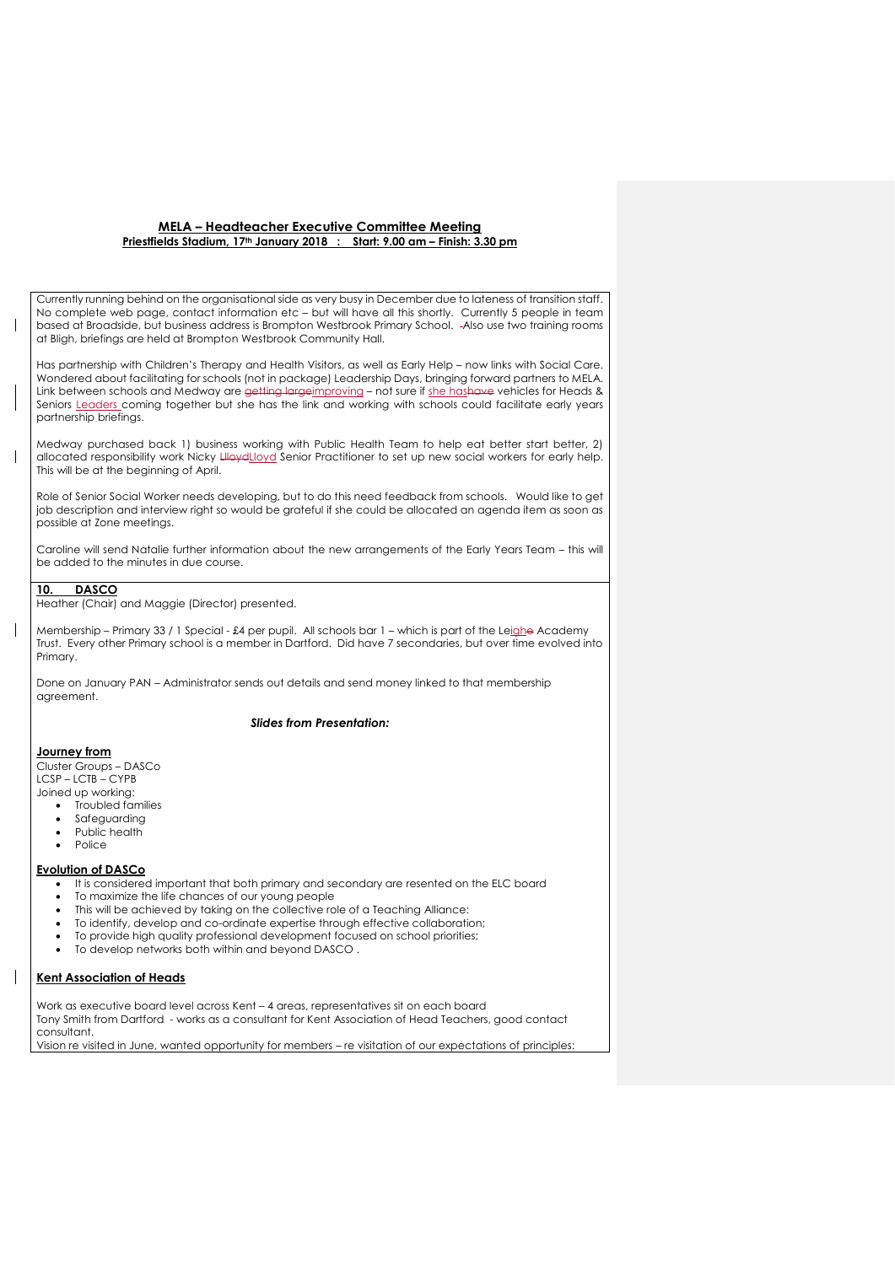Currently running behind on the organisational side as very busy in December due to lateness of transition staff. No complete web page, contact information etc – but will have all this shortly. Currently 5 people in team based at Broadside, but business address is Brompton Westbrook Primary School. Also use two training rooms at Bligh, briefings are held at Brompton Westbrook Community Hall.

Has partnership with Children's Therapy and Health Visitors, as well as Early Help – now links with Social Care. Wondered about facilitating for schools (not in package) Leadership Days, bringing forward partners to MELA. Link between schools and Medway are getting largeimproving - not sure if she hashave vehicles for Heads & Seniors Leaders coming together but she has the link and working with schools could facilitate early years partnership briefings.

Medway purchased back 1) business working with Public Health Team to help eat better start better, 2) allocated responsibility work Nicky HovelLloyd Senior Practitioner to set up new social workers for early help. This will be at the beginning of April.

Role of Senior Social Worker needs developing, but to do this need feedback from schools. Would like to get job description and interview right so would be grateful if she could be allocated an agenda item as soon as possible at Zone meetings.

Caroline will send Natalie further information about the new arrangements of the Early Years Team – this will be added to the minutes in due course.

# **10. DASCO**

Heather (Chair) and Maggie (Director) presented.

Membership – Primary 33 / 1 Special - £4 per pupil. All schools bar 1 – which is part of the Leighe Academy Trust. Every other Primary school is a member in Dartford. Did have 7 secondaries, but over time evolved into Primary.

Done on January PAN – Administrator sends out details and send money linked to that membership agreement.

# *Slides from Presentation:*

### **Journey from**

Cluster Groups – DASCo LCSP – LCTB – CYPB Joined up working:

- Troubled families
- Safeguarding
- Public health
- Police

#### **Evolution of DASCo**

- It is considered important that both primary and secondary are resented on the ELC board
- To maximize the life chances of our young people
- This will be achieved by taking on the collective role of a Teaching Alliance:
- To identify, develop and co-ordinate expertise through effective collaboration;
- To provide high quality professional development focused on school priorities;
- To develop networks both within and beyond DASCO .

# **Kent Association of Heads**

Work as executive board level across Kent – 4 areas, representatives sit on each board Tony Smith from Dartford - works as a consultant for Kent Association of Head Teachers, good contact consultant. Vision re visited in June, wanted opportunity for members – re visitation of our expectations of principles: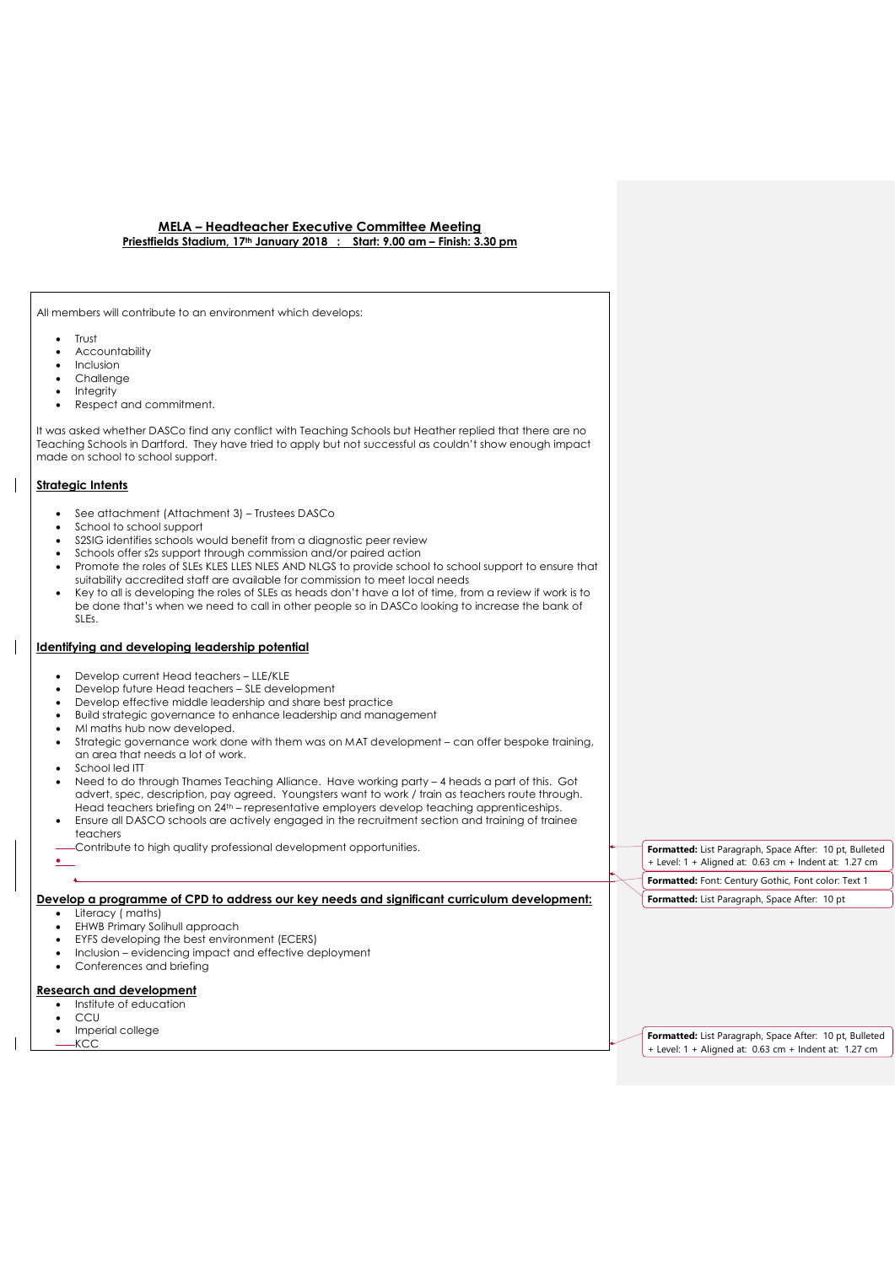All members will contribute to an environment which develops:

- Trust
- Accountability
- Inclusion
- Challenge
- Integrity
- Respect and commitment.

It was asked whether DASCo find any conflict with Teaching Schools but Heather replied that there are no Teaching Schools in Dartford. They have tried to apply but not successful as couldn't show enough impact made on school to school support.

# **Strategic Intents**

- See attachment (Attachment 3) Trustees DASCo
- School to school support
- S2SIG identifies schools would benefit from a diagnostic peer review
- Schools offer s2s support through commission and/or paired action
- Promote the roles of SLEs KLES LLES NLES AND NLGS to provide school to school support to ensure that suitability accredited staff are available for commission to meet local needs
- Key to all is developing the roles of SLEs as heads don't have a lot of time, from a review if work is to be done that's when we need to call in other people so in DASCo looking to increase the bank of SLEs.

# **Identifying and developing leadership potential**

- Develop current Head teachers LLE/KLE
- Develop future Head teachers SLE development
- Develop effective middle leadership and share best practice
- Build strategic governance to enhance leadership and management
- Ml maths hub now developed.
- Strategic governance work done with them was on MAT development can offer bespoke training, an area that needs a lot of work.
- School led ITT
- Need to do through Thames Teaching Alliance. Have working party 4 heads a part of this. Got advert, spec, description, pay agreed. Youngsters want to work / train as teachers route through. Head teachers briefing on 24th – representative employers develop teaching apprenticeships.
- Ensure all DASCO schools are actively engaged in the recruitment section and training of trainee teachers
- Contribute to high quality professional development opportunities.  $\bullet$

# **Develop a programme of CPD to address our key needs and significant curriculum development:**

- Literacy ( maths)
- EHWB Primary Solihull approach
- EYFS developing the best environment (ECERS)
- Inclusion evidencing impact and effective deployment
- Conferences and briefing

# **Research and development**

- Institute of education
- CCU
- Imperial college

KCC

**Formatted:** List Paragraph, Space After: 10 pt, Bulleted + Level: 1 + Aligned at: 0.63 cm + Indent at: 1.27 cm **Formatted:** Font: Century Gothic, Font color: Text 1

**Formatted:** List Paragraph, Space After: 10 pt, Bulleted + Level: 1 + Aligned at: 0.63 cm + Indent at: 1.27 cm

**Formatted:** List Paragraph, Space After: 10 pt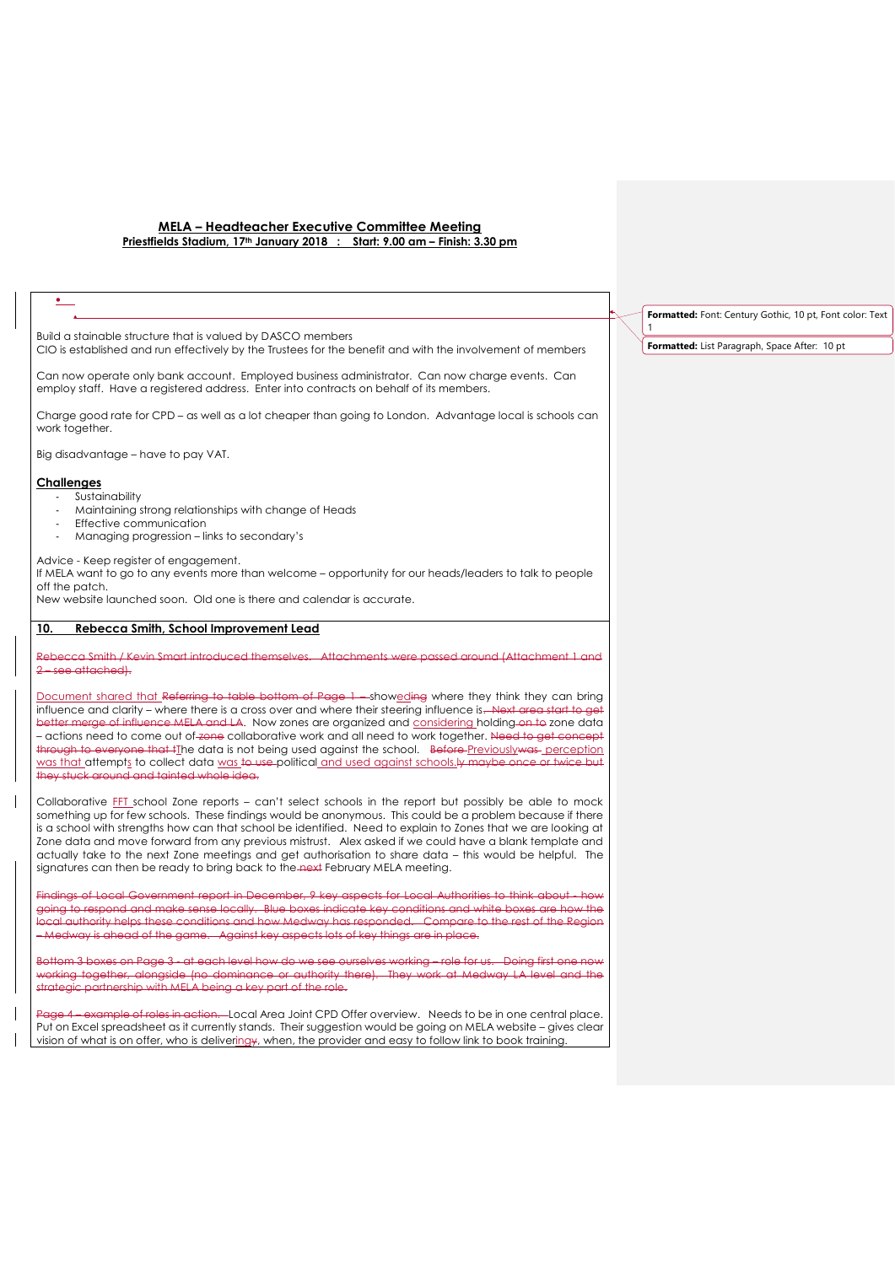| $\bullet$                                                                                                                                                                                                                                                                                                                                                                                                                                                                                                                                                                                                                                                                                                               |  |
|-------------------------------------------------------------------------------------------------------------------------------------------------------------------------------------------------------------------------------------------------------------------------------------------------------------------------------------------------------------------------------------------------------------------------------------------------------------------------------------------------------------------------------------------------------------------------------------------------------------------------------------------------------------------------------------------------------------------------|--|
| Build a stainable structure that is valued by DASCO members<br>CIO is established and run effectively by the Trustees for the benefit and with the involvement of members                                                                                                                                                                                                                                                                                                                                                                                                                                                                                                                                               |  |
| Can now operate only bank account. Employed business administrator. Can now charge events. Can<br>employ staff. Have a registered address. Enter into contracts on behalf of its members.                                                                                                                                                                                                                                                                                                                                                                                                                                                                                                                               |  |
| Charge good rate for CPD – as well as a lot cheaper than going to London. Advantage local is schools can<br>work together.                                                                                                                                                                                                                                                                                                                                                                                                                                                                                                                                                                                              |  |
| Big disadvantage - have to pay VAT.                                                                                                                                                                                                                                                                                                                                                                                                                                                                                                                                                                                                                                                                                     |  |
| <b>Challenges</b><br>Sustainability<br>Maintaining strong relationships with change of Heads<br>÷.<br>Effective communication<br>Managing progression – links to secondary's<br>ä,                                                                                                                                                                                                                                                                                                                                                                                                                                                                                                                                      |  |
| Advice - Keep register of engagement.<br>If MELA want to go to any events more than welcome – opportunity for our heads/leaders to talk to people<br>off the patch.<br>New website launched soon. Old one is there and calendar is accurate.                                                                                                                                                                                                                                                                                                                                                                                                                                                                            |  |
| Rebecca Smith, School Improvement Lead<br>10.                                                                                                                                                                                                                                                                                                                                                                                                                                                                                                                                                                                                                                                                           |  |
| Rebecca Smith / Kevin Smart introduced themselves. Attachments were passed around (Attachment 1 and<br>2-see attached).                                                                                                                                                                                                                                                                                                                                                                                                                                                                                                                                                                                                 |  |
| Document shared that Referring to table bottom of Page 1 - showeding where they think they can bring<br>influence and clarity – where there is a cross over and where their steering influence is. Next grea start to get<br>better merge of influence MELA and LA. Now zones are organized and considering holding on to zone data<br>- actions need to come out of zone collaborative work and all need to work together. Need to get concept<br>through to everyone that iThe data is not being used against the school. Before Previouslywas perception<br>was that attempts to collect data was to use political and used against schools. Hy maybe once or twice but<br>they stuck around and tainted whole idea. |  |
| Collaborative FFT school Zone reports – can't select schools in the report but possibly be able to mock<br>something up for few schools. These findings would be anonymous. This could be a problem because if there<br>is a school with strengths how can that school be identified. Need to explain to Zones that we are looking at<br>Zone data and move forward from any previous mistrust. Alex asked if we could have a blank template and<br>actually take to the next Zone meetings and get authorisation to share data – this would be helpful. The<br>signatures can then be ready to bring back to the next February MELA meeting.                                                                           |  |
| Findings of Local Government report in December, 9 key aspects for Local Authorities to think about - how<br>going to respond and make sense locally. Blue boxes indicate key conditions and white boxes are how the<br>local authority helps these conditions and how Medway has responded. Compare to the rest of the Region<br>- Medway is ahead of the game. Against key aspects lots of key things are in place.                                                                                                                                                                                                                                                                                                   |  |
| Bottom 3 boxes on Page 3 - at each level how do we see ourselves working - role for us. Doing first one now<br>working together, alongside (no dominance or authority there). They work at Medway LA level and the<br>strategic partnership with MELA being a key part of the role.                                                                                                                                                                                                                                                                                                                                                                                                                                     |  |
| Page 4 – example of roles in action. Local Area Joint CPD Offer overview. Needs to be in one central place.                                                                                                                                                                                                                                                                                                                                                                                                                                                                                                                                                                                                             |  |

Put on Excel spreadsheet as it currently stands. Their suggestion would be going on MELA website – gives clear vision of what is on offer, who is deliveringy, when, the provider and easy to follow link to book training.

 $\overline{\phantom{a}}$ 

**Formatted:** Font: Century Gothic, 10 pt, Font color: Text

**Formatted:** List Paragraph, Space After: 10 pt